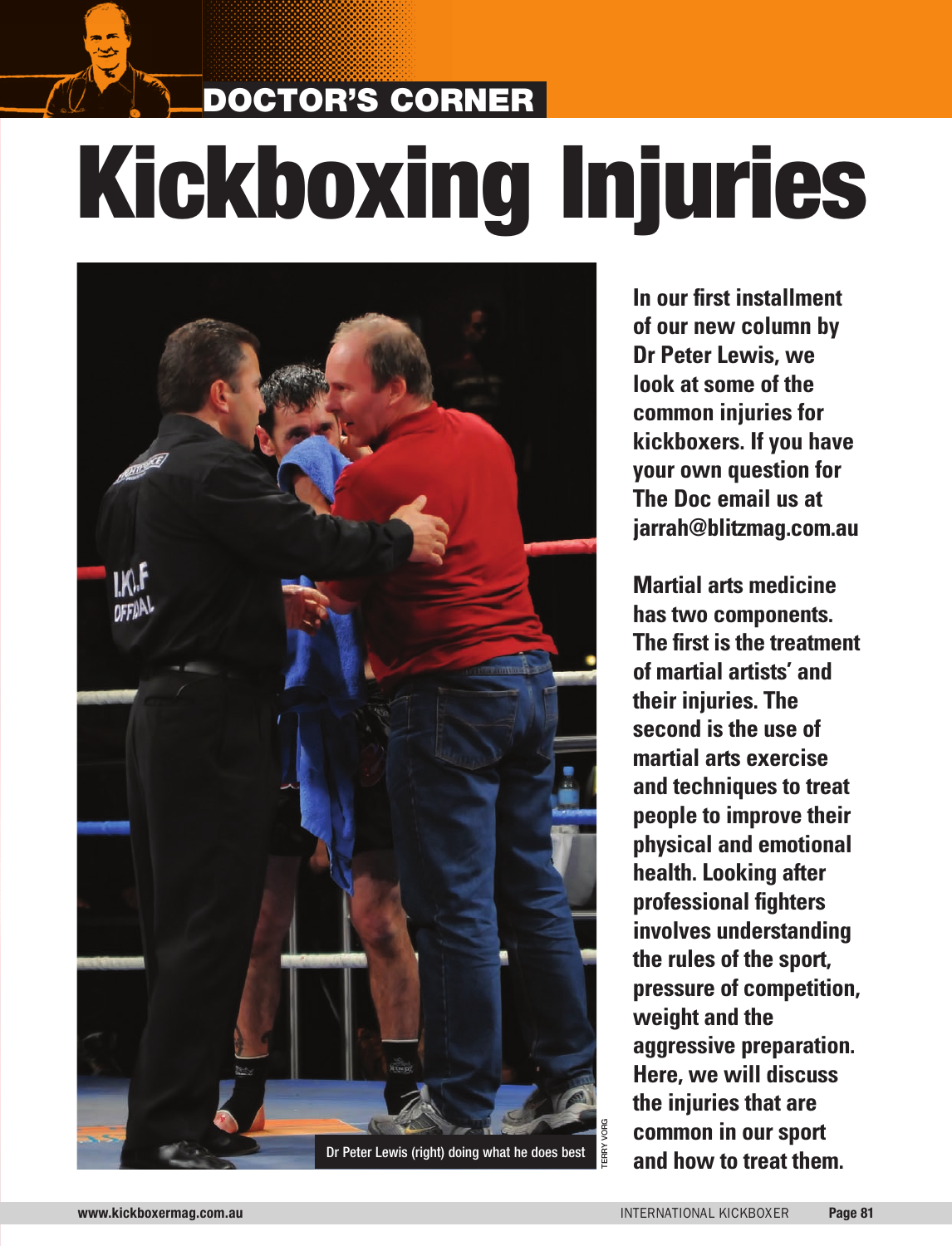# DOCTOR'S CORNER Kickboxing Injuries



**In our first installment of our new column by Dr Peter Lewis, we look at some of the common injuries for kickboxers. If you have your own question for The Doc email us at jarrah@blitzmag.com.au** 

**Martial arts medicine has two components. The first is the treatment of martial artists' and their injuries. The second is the use of martial arts exercise and techniques to treat people to improve their physical and emotional health. Looking after professional fighters involves understanding the rules of the sport, pressure of competition, weight and the aggressive preparation. Here, we will discuss the injuries that are common in our sport and how to treat them.**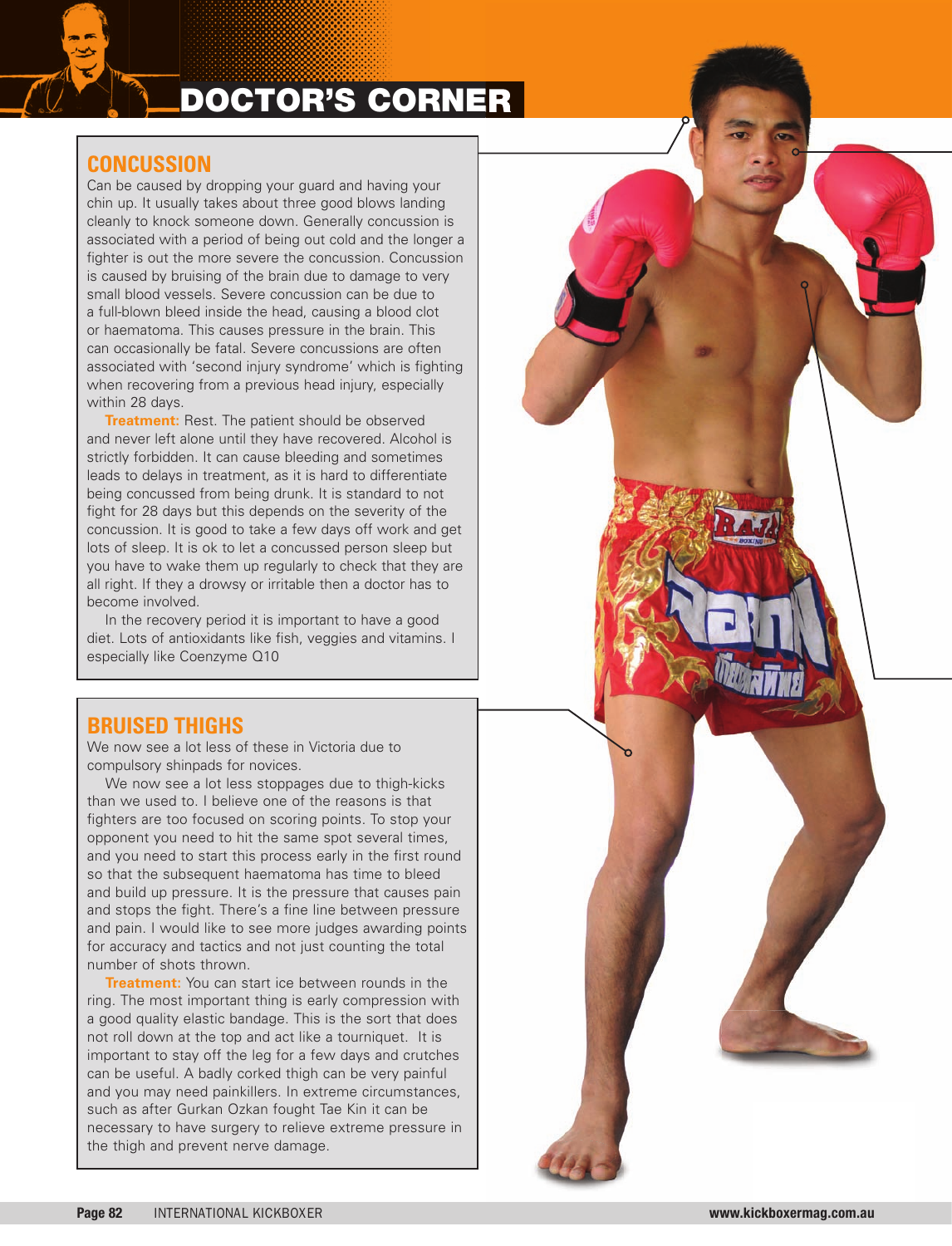# DOCTOR'S CORNER

# **CONCUSSION**

Can be caused by dropping your guard and having your chin up. It usually takes about three good blows landing cleanly to knock someone down. Generally concussion is associated with a period of being out cold and the longer a fighter is out the more severe the concussion. Concussion is caused by bruising of the brain due to damage to very small blood vessels. Severe concussion can be due to a full-blown bleed inside the head, causing a blood clot or haematoma. This causes pressure in the brain. This can occasionally be fatal. Severe concussions are often associated with 'second injury syndrome' which is fighting when recovering from a previous head injury, especially within 28 days.

**Treatment:** Rest. The patient should be observed and never left alone until they have recovered. Alcohol is strictly forbidden. It can cause bleeding and sometimes leads to delays in treatment, as it is hard to differentiate being concussed from being drunk. It is standard to not fight for 28 days but this depends on the severity of the concussion. It is good to take a few days off work and get lots of sleep. It is ok to let a concussed person sleep but you have to wake them up regularly to check that they are all right. If they a drowsy or irritable then a doctor has to become involved.

In the recovery period it is important to have a good diet. Lots of antioxidants like fish, veggies and vitamins. I especially like Coenzyme Q10

## **BRUISED THIGHS**

We now see a lot less of these in Victoria due to compulsory shinpads for novices.

We now see a lot less stoppages due to thigh-kicks than we used to. I believe one of the reasons is that fighters are too focused on scoring points. To stop your opponent you need to hit the same spot several times, and you need to start this process early in the first round so that the subsequent haematoma has time to bleed and build up pressure. It is the pressure that causes pain and stops the fight. There's a fine line between pressure and pain. I would like to see more judges awarding points for accuracy and tactics and not just counting the total number of shots thrown.

**Treatment:** You can start ice between rounds in the ring. The most important thing is early compression with a good quality elastic bandage. This is the sort that does not roll down at the top and act like a tourniquet. It is important to stay off the leg for a few days and crutches can be useful. A badly corked thigh can be very painful and you may need painkillers. In extreme circumstances, such as after Gurkan Ozkan fought Tae Kin it can be necessary to have surgery to relieve extreme pressure in the thigh and prevent nerve damage.